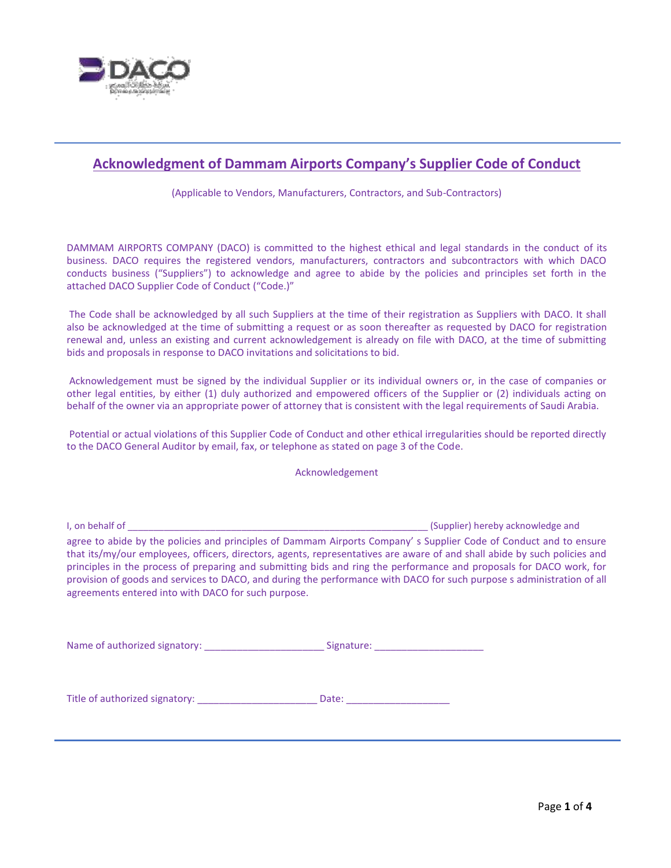

# **Acknowledgment of Dammam Airports Company's Supplier Code of Conduct**

(Applicable to Vendors, Manufacturers, Contractors, and Sub-Contractors)

DAMMAM AIRPORTS COMPANY (DACO) is committed to the highest ethical and legal standards in the conduct of its business. DACO requires the registered vendors, manufacturers, contractors and subcontractors with which DACO conducts business ("Suppliers") to acknowledge and agree to abide by the policies and principles set forth in the attached DACO Supplier Code of Conduct ("Code.)"

The Code shall be acknowledged by all such Suppliers at the time of their registration as Suppliers with DACO. It shall also be acknowledged at the time of submitting a request or as soon thereafter as requested by DACO for registration renewal and, unless an existing and current acknowledgement is already on file with DACO, at the time of submitting bids and proposals in response to DACO invitations and solicitations to bid.

Acknowledgement must be signed by the individual Supplier or its individual owners or, in the case of companies or other legal entities, by either (1) duly authorized and empowered officers of the Supplier or (2) individuals acting on behalf of the owner via an appropriate power of attorney that is consistent with the legal requirements of Saudi Arabia.

Potential or actual violations of this Supplier Code of Conduct and other ethical irregularities should be reported directly to the DACO General Auditor by email, fax, or telephone as stated on page 3 of the Code.

Acknowledgement

| I, on behalf of                                                                                                                                                                                                                                                                                                                                                                                                                                                                                                                                         | (Supplier) hereby acknowledge and |
|---------------------------------------------------------------------------------------------------------------------------------------------------------------------------------------------------------------------------------------------------------------------------------------------------------------------------------------------------------------------------------------------------------------------------------------------------------------------------------------------------------------------------------------------------------|-----------------------------------|
| agree to abide by the policies and principles of Dammam Airports Company's Supplier Code of Conduct and to ensure<br>that its/my/our employees, officers, directors, agents, representatives are aware of and shall abide by such policies and<br>principles in the process of preparing and submitting bids and ring the performance and proposals for DACO work, for<br>provision of goods and services to DACO, and during the performance with DACO for such purpose s administration of all<br>agreements entered into with DACO for such purpose. |                                   |

Name of authorized signatory: \_\_\_\_\_\_\_\_\_\_\_\_\_\_\_\_\_\_\_\_\_\_ Signature: \_\_\_\_\_\_\_\_\_\_\_\_\_\_\_\_\_\_\_\_

Title of authorized signatory: \_\_\_\_\_\_\_\_\_\_\_\_\_\_\_\_\_\_\_\_\_\_ Date: \_\_\_\_\_\_\_\_\_\_\_\_\_\_\_\_\_\_\_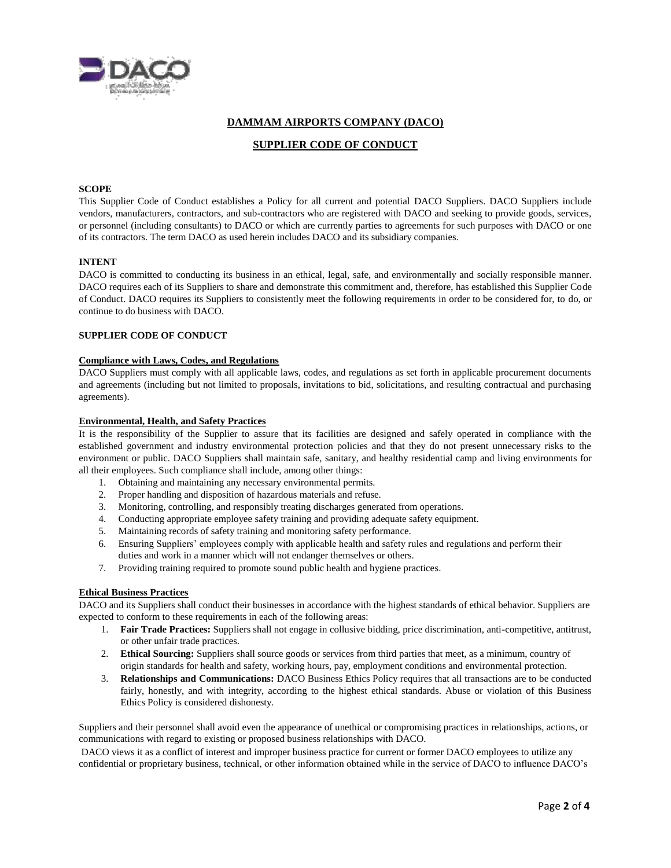

# **DAMMAM AIRPORTS COMPANY (DACO)**

# **SUPPLIER CODE OF CONDUCT**

#### **SCOPE**

This Supplier Code of Conduct establishes a Policy for all current and potential DACO Suppliers. DACO Suppliers include vendors, manufacturers, contractors, and sub-contractors who are registered with DACO and seeking to provide goods, services, or personnel (including consultants) to DACO or which are currently parties to agreements for such purposes with DACO or one of its contractors. The term DACO as used herein includes DACO and its subsidiary companies.

## **INTENT**

DACO is committed to conducting its business in an ethical, legal, safe, and environmentally and socially responsible manner. DACO requires each of its Suppliers to share and demonstrate this commitment and, therefore, has established this Supplier Code of Conduct. DACO requires its Suppliers to consistently meet the following requirements in order to be considered for, to do, or continue to do business with DACO.

## **SUPPLIER CODE OF CONDUCT**

## **Compliance with Laws, Codes, and Regulations**

DACO Suppliers must comply with all applicable laws, codes, and regulations as set forth in applicable procurement documents and agreements (including but not limited to proposals, invitations to bid, solicitations, and resulting contractual and purchasing agreements).

## **Environmental, Health, and Safety Practices**

It is the responsibility of the Supplier to assure that its facilities are designed and safely operated in compliance with the established government and industry environmental protection policies and that they do not present unnecessary risks to the environment or public. DACO Suppliers shall maintain safe, sanitary, and healthy residential camp and living environments for all their employees. Such compliance shall include, among other things:

- 1. Obtaining and maintaining any necessary environmental permits.
- 2. Proper handling and disposition of hazardous materials and refuse.
- 3. Monitoring, controlling, and responsibly treating discharges generated from operations.
- 4. Conducting appropriate employee safety training and providing adequate safety equipment.
- 5. Maintaining records of safety training and monitoring safety performance.
- 6. Ensuring Suppliers' employees comply with applicable health and safety rules and regulations and perform their duties and work in a manner which will not endanger themselves or others.
- 7. Providing training required to promote sound public health and hygiene practices.

#### **Ethical Business Practices**

DACO and its Suppliers shall conduct their businesses in accordance with the highest standards of ethical behavior. Suppliers are expected to conform to these requirements in each of the following areas:

- 1. **Fair Trade Practices:** Suppliers shall not engage in collusive bidding, price discrimination, anti-competitive, antitrust, or other unfair trade practices.
- 2. **Ethical Sourcing:** Suppliers shall source goods or services from third parties that meet, as a minimum, country of origin standards for health and safety, working hours, pay, employment conditions and environmental protection.
- 3. **Relationships and Communications:** DACO Business Ethics Policy requires that all transactions are to be conducted fairly, honestly, and with integrity, according to the highest ethical standards. Abuse or violation of this Business Ethics Policy is considered dishonesty.

Suppliers and their personnel shall avoid even the appearance of unethical or compromising practices in relationships, actions, or communications with regard to existing or proposed business relationships with DACO.

DACO views it as a conflict of interest and improper business practice for current or former DACO employees to utilize any confidential or proprietary business, technical, or other information obtained while in the service of DACO to influence DACO's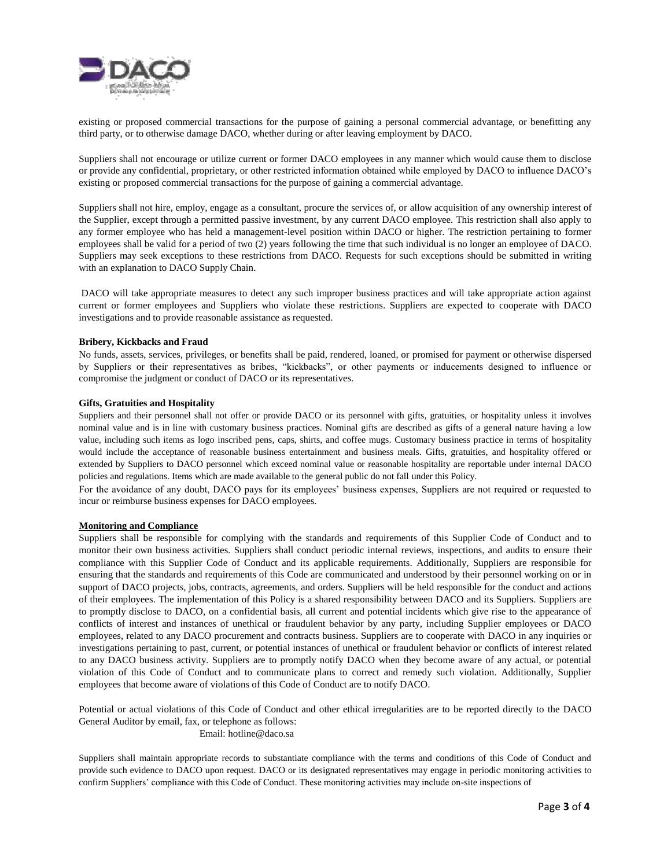

existing or proposed commercial transactions for the purpose of gaining a personal commercial advantage, or benefitting any third party, or to otherwise damage DACO, whether during or after leaving employment by DACO.

Suppliers shall not encourage or utilize current or former DACO employees in any manner which would cause them to disclose or provide any confidential, proprietary, or other restricted information obtained while employed by DACO to influence DACO's existing or proposed commercial transactions for the purpose of gaining a commercial advantage.

Suppliers shall not hire, employ, engage as a consultant, procure the services of, or allow acquisition of any ownership interest of the Supplier, except through a permitted passive investment, by any current DACO employee. This restriction shall also apply to any former employee who has held a management-level position within DACO or higher. The restriction pertaining to former employees shall be valid for a period of two (2) years following the time that such individual is no longer an employee of DACO. Suppliers may seek exceptions to these restrictions from DACO. Requests for such exceptions should be submitted in writing with an explanation to DACO Supply Chain.

DACO will take appropriate measures to detect any such improper business practices and will take appropriate action against current or former employees and Suppliers who violate these restrictions. Suppliers are expected to cooperate with DACO investigations and to provide reasonable assistance as requested.

## **Bribery, Kickbacks and Fraud**

No funds, assets, services, privileges, or benefits shall be paid, rendered, loaned, or promised for payment or otherwise dispersed by Suppliers or their representatives as bribes, "kickbacks", or other payments or inducements designed to influence or compromise the judgment or conduct of DACO or its representatives.

#### **Gifts, Gratuities and Hospitality**

Suppliers and their personnel shall not offer or provide DACO or its personnel with gifts, gratuities, or hospitality unless it involves nominal value and is in line with customary business practices. Nominal gifts are described as gifts of a general nature having a low value, including such items as logo inscribed pens, caps, shirts, and coffee mugs. Customary business practice in terms of hospitality would include the acceptance of reasonable business entertainment and business meals. Gifts, gratuities, and hospitality offered or extended by Suppliers to DACO personnel which exceed nominal value or reasonable hospitality are reportable under internal DACO policies and regulations. Items which are made available to the general public do not fall under this Policy.

For the avoidance of any doubt, DACO pays for its employees' business expenses, Suppliers are not required or requested to incur or reimburse business expenses for DACO employees.

#### **Monitoring and Compliance**

Suppliers shall be responsible for complying with the standards and requirements of this Supplier Code of Conduct and to monitor their own business activities. Suppliers shall conduct periodic internal reviews, inspections, and audits to ensure their compliance with this Supplier Code of Conduct and its applicable requirements. Additionally, Suppliers are responsible for ensuring that the standards and requirements of this Code are communicated and understood by their personnel working on or in support of DACO projects, jobs, contracts, agreements, and orders. Suppliers will be held responsible for the conduct and actions of their employees. The implementation of this Policy is a shared responsibility between DACO and its Suppliers. Suppliers are to promptly disclose to DACO, on a confidential basis, all current and potential incidents which give rise to the appearance of conflicts of interest and instances of unethical or fraudulent behavior by any party, including Supplier employees or DACO employees, related to any DACO procurement and contracts business. Suppliers are to cooperate with DACO in any inquiries or investigations pertaining to past, current, or potential instances of unethical or fraudulent behavior or conflicts of interest related to any DACO business activity. Suppliers are to promptly notify DACO when they become aware of any actual, or potential violation of this Code of Conduct and to communicate plans to correct and remedy such violation. Additionally, Supplier employees that become aware of violations of this Code of Conduct are to notify DACO.

Potential or actual violations of this Code of Conduct and other ethical irregularities are to be reported directly to the DACO General Auditor by email, fax, or telephone as follows: Email: hotline@daco.sa

Suppliers shall maintain appropriate records to substantiate compliance with the terms and conditions of this Code of Conduct and provide such evidence to DACO upon request. DACO or its designated representatives may engage in periodic monitoring activities to confirm Suppliers' compliance with this Code of Conduct. These monitoring activities may include on-site inspections of